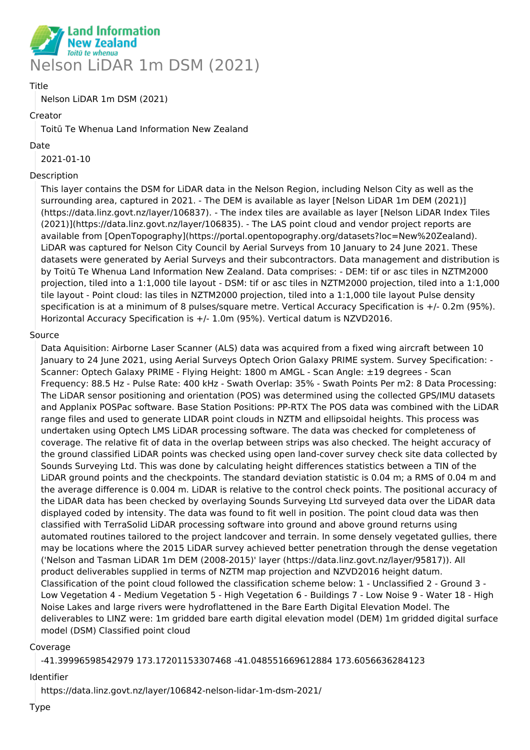

#### Title

Nelson LiDAR 1m DSM (2021)

#### Creator

Toitū Te Whenua Land Information New Zealand

#### Date

2021-01-10

#### Description

This layer contains the DSM for LiDAR data in the Nelson Region, including Nelson City as well as the surrounding area, captured in 2021. - The DEM is available as layer [Nelson LiDAR 1m DEM (2021)] (https://data.linz.govt.nz/layer/106837). - The index tiles are available as layer [Nelson LiDAR Index Tiles (2021)](https://data.linz.govt.nz/layer/106835). - The LAS point cloud and vendor project reports are available from [OpenTopography](https://portal.opentopography.org/datasets?loc=New%20Zealand). LiDAR was captured for Nelson City Council by Aerial Surveys from 10 January to 24 June 2021. These datasets were generated by Aerial Surveys and their subcontractors. Data management and distribution is by Toitū Te Whenua Land Information New Zealand. Data comprises: - DEM: tif or asc tiles in NZTM2000 projection, tiled into a 1:1,000 tile layout - DSM: tif or asc tiles in NZTM2000 projection, tiled into a 1:1,000 tile layout - Point cloud: las tiles in NZTM2000 projection, tiled into a 1:1,000 tile layout Pulse density specification is at a minimum of 8 pulses/square metre. Vertical Accuracy Specification is +/- 0.2m (95%). Horizontal Accuracy Specification is +/- 1.0m (95%). Vertical datum is NZVD2016.

#### Source

Data Aquisition: Airborne Laser Scanner (ALS) data was acquired from a fixed wing aircraft between 10 January to 24 June 2021, using Aerial Surveys Optech Orion Galaxy PRIME system. Survey Specification: - Scanner: Optech Galaxy PRIME - Flying Height: 1800 m AMGL - Scan Angle: ±19 degrees - Scan Frequency: 88.5 Hz - Pulse Rate: 400 kHz - Swath Overlap: 35% - Swath Points Per m2: 8 Data Processing: The LiDAR sensor positioning and orientation (POS) was determined using the collected GPS/IMU datasets and Applanix POSPac software. Base Station Positions: PP-RTX The POS data was combined with the LiDAR range files and used to generate LIDAR point clouds in NZTM and ellipsoidal heights. This process was undertaken using Optech LMS LiDAR processing software. The data was checked for completeness of coverage. The relative fit of data in the overlap between strips was also checked. The height accuracy of the ground classified LiDAR points was checked using open land-cover survey check site data collected by Sounds Surveying Ltd. This was done by calculating height differences statistics between a TIN of the LiDAR ground points and the checkpoints. The standard deviation statistic is 0.04 m; a RMS of 0.04 m and the average difference is 0.004 m. LiDAR is relative to the control check points. The positional accuracy of the LiDAR data has been checked by overlaying Sounds Surveying Ltd surveyed data over the LiDAR data displayed coded by intensity. The data was found to fit well in position. The point cloud data was then classified with TerraSolid LiDAR processing software into ground and above ground returns using automated routines tailored to the project landcover and terrain. In some densely vegetated gullies, there may be locations where the 2015 LiDAR survey achieved better penetration through the dense vegetation ('Nelson and Tasman LiDAR 1m DEM (2008-2015)' layer (https://data.linz.govt.nz/layer/95817)). All product deliverables supplied in terms of NZTM map projection and NZVD2016 height datum. Classification of the point cloud followed the classification scheme below: 1 - Unclassified 2 - Ground 3 - Low Vegetation 4 - Medium Vegetation 5 - High Vegetation 6 - Buildings 7 - Low Noise 9 - Water 18 - High Noise Lakes and large rivers were hydroflattened in the Bare Earth Digital Elevation Model. The deliverables to LINZ were: 1m gridded bare earth digital elevation model (DEM) 1m gridded digital surface model (DSM) Classified point cloud

#### Coverage

-41.39996598542979 173.17201153307468 -41.048551669612884 173.6056636284123

#### Identifier

https://data.linz.govt.nz/layer/106842-nelson-lidar-1m-dsm-2021/

Type